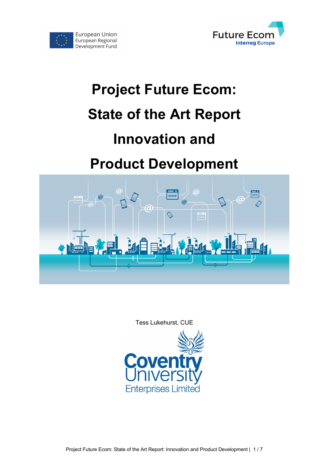



# **Project Future Ecom: State of the Art Report Innovation and**

# **Product Development**



Tess Lukehurst, CUE

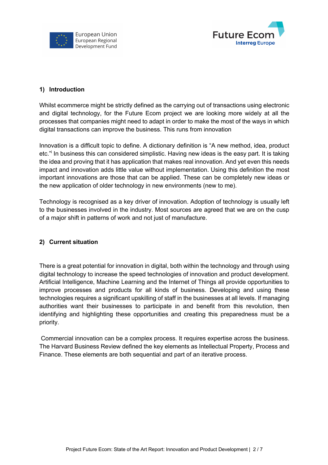



### **1) Introduction**

Whilst ecommerce might be strictly defined as the carrying out of transactions using electronic and digital technology, for the Future Ecom project we are looking more widely at all the processes that companies might need to adapt in order to make the most of the ways in which digital transactions can improve the business. This runs from innovation

Innovation is a difficult topic to define. A dictionary definition is "A new method, idea, product etc." In business this can considered simplistic. Having new ideas is the easy part. It is taking the idea and proving that it has application that makes real innovation. And yet even this needs impact and innovation adds little value without implementation. Using this definition the most important innovations are those that can be applied. These can be completely new ideas or the new application of older technology in new environments (new to me).

Technology is recognised as a key driver of innovation. Adoption of technology is usually left to the businesses involved in the industry. Most sources are agreed that we are on the cusp of a major shift in patterns of work and not just of manufacture.

#### **2) Current situation**

There is a great potential for innovation in digital, both within the technology and through using digital technology to increase the speed technologies of innovation and product development. Artificial Intelligence, Machine Learning and the Internet of Things all provide opportunities to improve processes and products for all kinds of business. Developing and using these technologies requires a significant upskilling of staff in the businesses at all levels. If managing authorities want their businesses to participate in and benefit from this revolution, then identifying and highlighting these opportunities and creating this preparedness must be a priority.

Commercial innovation can be a complex process. It requires expertise across the business. The Harvard Business Review defined the key elements as Intellectual Property, Process and Finance. These elements are both sequential and part of an iterative process.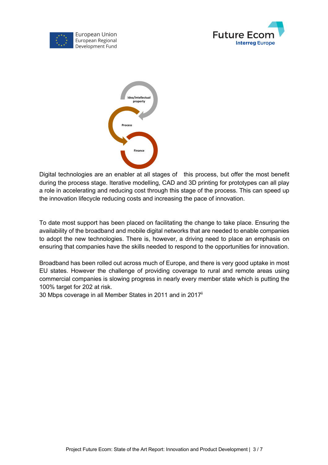





Digital technologies are an enabler at all stages of this process, but offer the most benefit during the process stage. Iterative modelling, CAD and 3D printing for prototypes can all play a role in accelerating and reducing cost through this stage of the process. This can speed up the innovation lifecycle reducing costs and increasing the pace of innovation.

To date most support has been placed on facilitating the change to take place. Ensuring the availability of the broadband and mobile digital networks that are needed to enable companies to adopt the new technologies. There is, however, a driving need to place an emphasis on ensuring that companies have the skills needed to respond to the opportunities for innovation.

Broadband has been rolled out across much of Europe, and there is very good uptake in most EU states. However the challenge of providing coverage to rural and remote areas using commercial companies is slowing progress in nearly every member state which is putting the 100% target for 202 at risk.

30 Mbps coverage in all Member States in 2011 and in 2017<sup>ii</sup>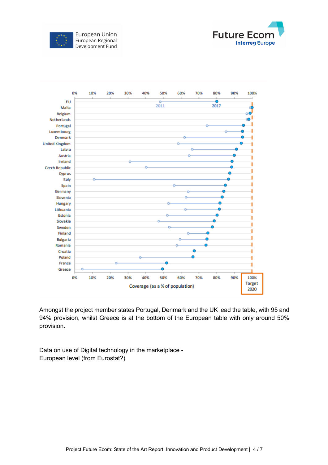





Amongst the project member states Portugal, Denmark and the UK lead the table, with 95 and 94% provision, whilst Greece is at the bottom of the European table with only around 50% provision.

Data on use of Digital technology in the marketplace - European level (from Eurostat?)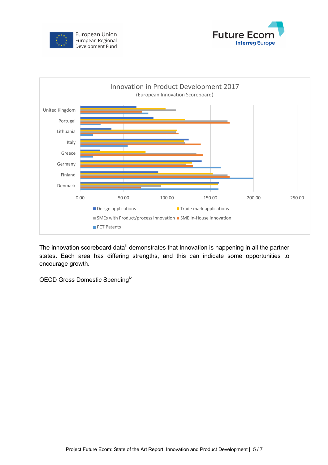





The innovation scoreboard data<sup>iii</sup> demonstrates that Innovation is happening in all the partner states. Each area has differing strengths, and this can indicate some opportunities to encourage growth.

OECD Gross Domestic Spending<sup>iv</sup>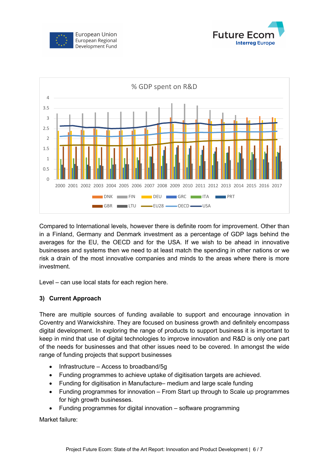





Compared to International levels, however there is definite room for improvement. Other than in a Finland, Germany and Denmark investment as a percentage of GDP lags behind the averages for the EU, the OECD and for the USA. If we wish to be ahead in innovative businesses and systems then we need to at least match the spending in other nations or we risk a drain of the most innovative companies and minds to the areas where there is more investment.

Level – can use local stats for each region here.

# **3) Current Approach**

There are multiple sources of funding available to support and encourage innovation in Coventry and Warwickshire. They are focused on business growth and definitely encompass digital development. In exploring the range of products to support business it is important to keep in mind that use of digital technologies to improve innovation and R&D is only one part of the needs for businesses and that other issues need to be covered. In amongst the wide range of funding projects that support businesses

- Infrastructure Access to broadband/5g
- Funding programmes to achieve uptake of digitisation targets are achieved.
- Funding for digitisation in Manufacture– medium and large scale funding
- Funding programmes for innovation From Start up through to Scale up programmes for high growth businesses.
- Funding programmes for digital innovation software programming

Market failure: